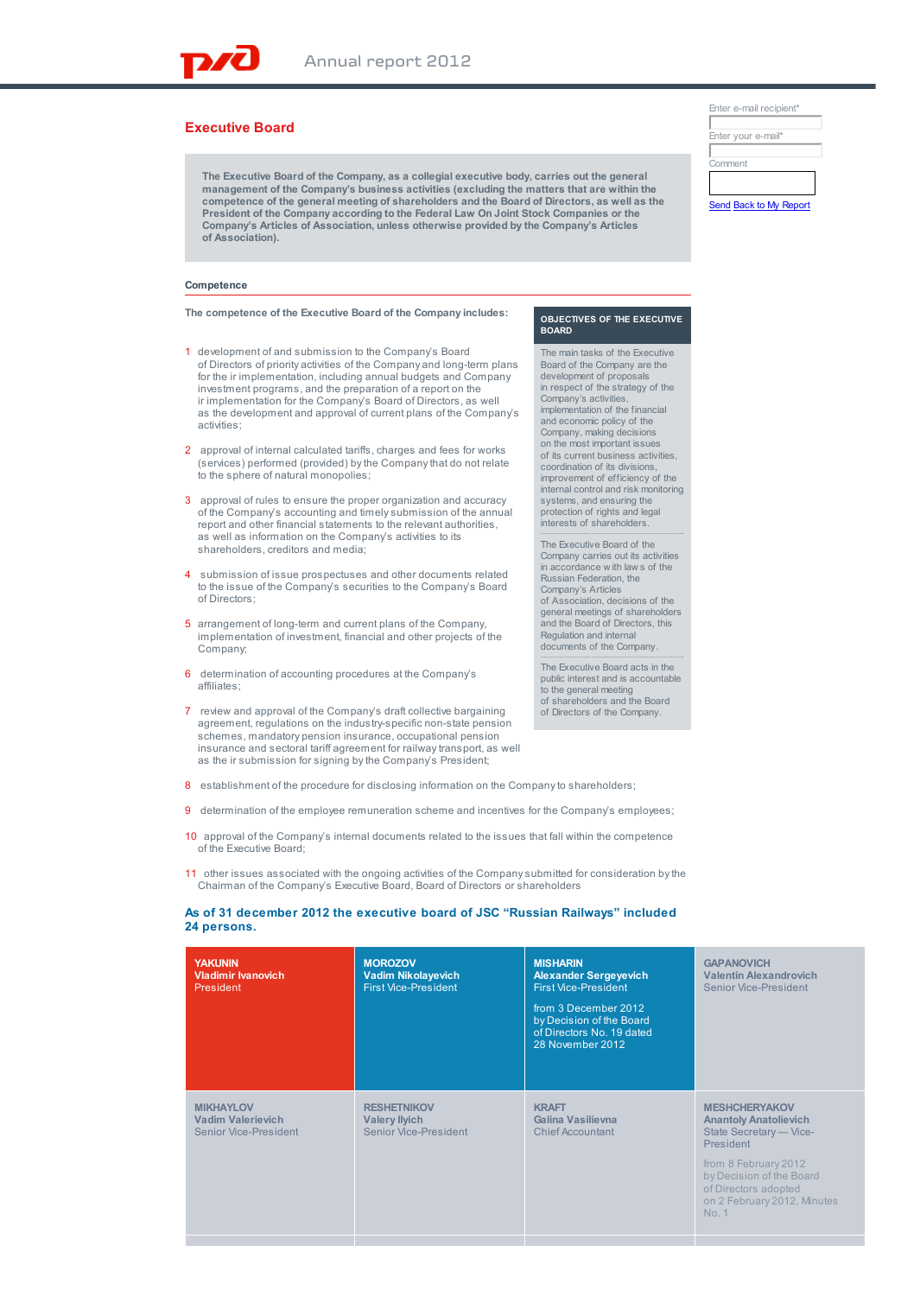# **Executive Board**

**The Executive Board of the Company, as a collegial executive body, carries out the general management of the Company's business activities (excluding the matters that are within the competence of the general meeting of shareholders and the Board of Directors, as well as the President of the Company according to the Federal Law On Joint Stock Companies or the Company's Articles of Association, unless otherwise provided by the Company's Articles of Association).**

### **Competence**

#### **The competence of the Executive Board of the Company includes:**

- 1 development of and submission to the Company's Board of Directors of priority activities of the Company and long-term plans for the ir implementation, including annual budgets and Company investment programs, and the preparation of a report on the ir implementation for the Company's Board of Directors, as well as the development and approval of current plans of the Company's activities;
- 2 approval of internal calculated tariffs, charges and fees for works (services) performed (provided) by the Company that do not relate to the sphere of natural monopolies;
- 3 approval of rules to ensure the proper organization and accuracy of the Company's accounting and timely submission of the annual report and other financial statements to the relevant authorities, as well as information on the Company's activities to its shareholders, creditors and media;
- 4 submission of issue prospectuses and other documents related to the issue of the Company's securities to the Company's Board of Directors;
- 5 arrangement of long-term and current plans of the Company, implementation of investment, financial and other projects of the Company;
- 6 determination of accounting procedures at the Company's affiliates;
- 7 review and approval of the Company's draft collective bargaining agreement, regulations on the industry-specific non-state pension schemes, mandatory pension insurance, occupational pension insurance and sectoral tariff agreement for railway transport, as well as the ir submission for signing by the Company's President;
- 8 establishment of the procedure for disclosing information on the Company to shareholders;
- 9 determination of the employee remuneration scheme and incentives for the Company's employees;
- 10 approval of the Company's internal documents related to the issues that fall within the competence of the Executive Board;
- 11 other issues associated with the ongoing activities of the Company submitted for consideration by the Chairman of the Company's Executive Board, Board of Directors or shareholders

## **As of 31 december 2012 the executive board of JSC "Russian Railways" included 24 persons.**

| <b>YAKUNIN</b><br><b>Vladimir Ivanovich</b><br>President              | <b>MOROZOV</b><br><b>Vadim Nikolayevich</b><br><b>First Vice-President</b> | <b>MISHARIN</b><br><b>Alexander Sergeyevich</b><br><b>First Vice-President</b><br>from 3 December 2012<br>by Decision of the Board<br>of Directors No. 19 dated<br>28 November 2012 | <b>GAPANOVICH</b><br><b>Valentin Alexandrovich</b><br>Senior Vice-President                                                                                                                                      |
|-----------------------------------------------------------------------|----------------------------------------------------------------------------|-------------------------------------------------------------------------------------------------------------------------------------------------------------------------------------|------------------------------------------------------------------------------------------------------------------------------------------------------------------------------------------------------------------|
| <b>MIKHAYLOV</b><br><b>Vadim Valerievich</b><br>Senior Vice-President | <b>RESHETNIKOV</b><br><b>Valery llyich</b><br>Senior Vice-President        | <b>KRAFT</b><br>Galina Vasilievna<br><b>Chief Accountant</b>                                                                                                                        | <b>MESHCHERYAKOV</b><br><b>Anantoly Anatolievich</b><br>State Secretary - Vice-<br>President<br>from 8 February 2012<br>by Decision of the Board<br>of Directors adopted<br>on 2 February 2012, Minutes<br>No. 1 |

| Enter e-mail recipient* |  |  |  |  |  |
|-------------------------|--|--|--|--|--|
|                         |  |  |  |  |  |
| Enter your e-mail*      |  |  |  |  |  |
|                         |  |  |  |  |  |
| Comment                 |  |  |  |  |  |
|                         |  |  |  |  |  |
| Send Back to My Report  |  |  |  |  |  |

#### **OBJECTIVES OF THE EXECUTIVE BOARD**

The main tasks of the Executive Board of the Company are the development of proposals in respect of the strategy of the Company's activities, implementation of the financial and economic policy of the Company, making decisions on the most important issues of its current business activities, coordination of its divisions, improvement of efficiency of the internal control and risk monitoring systems, and ensuring the protection of rights and legal interests of shareholders.

The Executive Board of the Company carries out its activities in accordance w ith law s of the Russian Federation, the Company's Articles of Association, decisions of the general meetings of shareholders and the Board of Directors, this Regulation and internal documents of the Company.

The Executive Board acts in the public interest and is accountable to the general meeting of shareholders and the Board of Directors of the Company.